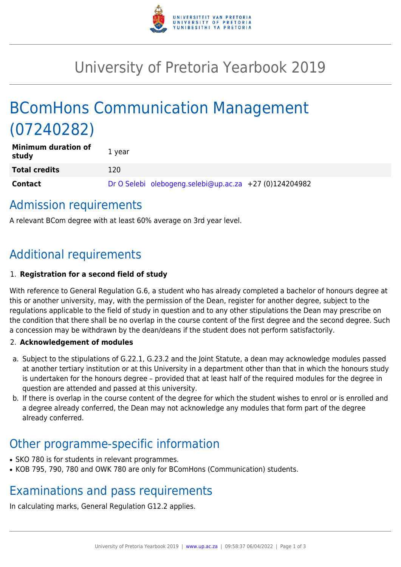

## University of Pretoria Yearbook 2019

# BComHons Communication Management (07240282)

| <b>Minimum duration of</b><br>study | 1 year                                                 |  |
|-------------------------------------|--------------------------------------------------------|--|
| <b>Total credits</b>                | 120                                                    |  |
| <b>Contact</b>                      | Dr O Selebi olebogeng.selebi@up.ac.za +27 (0)124204982 |  |

#### Admission requirements

A relevant BCom degree with at least 60% average on 3rd year level.

## Additional requirements

#### 1. **Registration for a second field of study**

With reference to General Regulation G.6, a student who has already completed a bachelor of honours degree at this or another university, may, with the permission of the Dean, register for another degree, subject to the regulations applicable to the field of study in question and to any other stipulations the Dean may prescribe on the condition that there shall be no overlap in the course content of the first degree and the second degree. Such a concession may be withdrawn by the dean/deans if the student does not perform satisfactorily.

#### 2. **Acknowledgement of modules**

- a. Subject to the stipulations of G.22.1, G.23.2 and the Joint Statute, a dean may acknowledge modules passed at another tertiary institution or at this University in a department other than that in which the honours study is undertaken for the honours degree – provided that at least half of the required modules for the degree in question are attended and passed at this university.
- b. If there is overlap in the course content of the degree for which the student wishes to enrol or is enrolled and a degree already conferred, the Dean may not acknowledge any modules that form part of the degree already conferred.

### Other programme-specific information

- SKO 780 is for students in relevant programmes.
- KOB 795, 790, 780 and OWK 780 are only for BComHons (Communication) students.

### Examinations and pass requirements

In calculating marks, General Regulation G12.2 applies.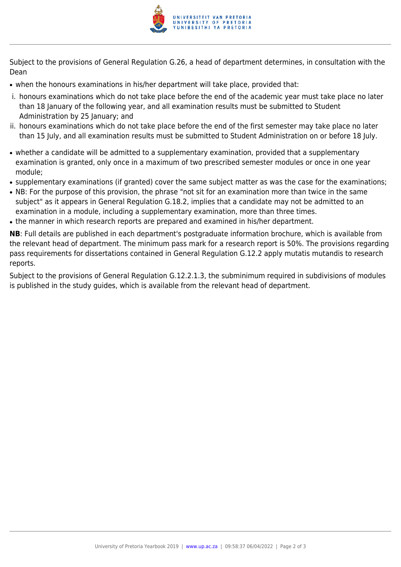

Subject to the provisions of General Regulation G.26, a head of department determines, in consultation with the Dean

- when the honours examinations in his/her department will take place, provided that:
- i. honours examinations which do not take place before the end of the academic year must take place no later than 18 January of the following year, and all examination results must be submitted to Student Administration by 25 January; and
- ii. honours examinations which do not take place before the end of the first semester may take place no later than 15 July, and all examination results must be submitted to Student Administration on or before 18 July.
- whether a candidate will be admitted to a supplementary examination, provided that a supplementary examination is granted, only once in a maximum of two prescribed semester modules or once in one year module;
- supplementary examinations (if granted) cover the same subject matter as was the case for the examinations;
- NB: For the purpose of this provision, the phrase "not sit for an examination more than twice in the same subject" as it appears in General Regulation G.18.2, implies that a candidate may not be admitted to an examination in a module, including a supplementary examination, more than three times.
- the manner in which research reports are prepared and examined in his/her department.

**NB**: Full details are published in each department's postgraduate information brochure, which is available from the relevant head of department. The minimum pass mark for a research report is 50%. The provisions regarding pass requirements for dissertations contained in General Regulation G.12.2 apply mutatis mutandis to research reports.

Subject to the provisions of General Regulation G.12.2.1.3, the subminimum required in subdivisions of modules is published in the study guides, which is available from the relevant head of department.